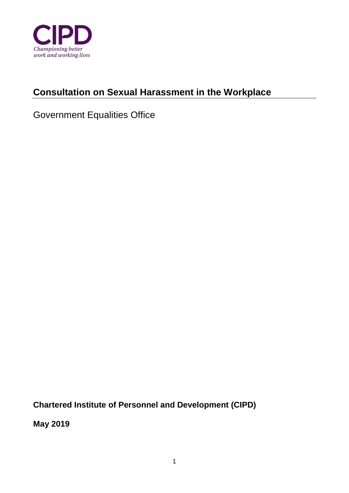

# **Consultation on Sexual Harassment in the Workplace**

# Government Equalities Office

**Chartered Institute of Personnel and Development (CIPD)** 

**May 2019**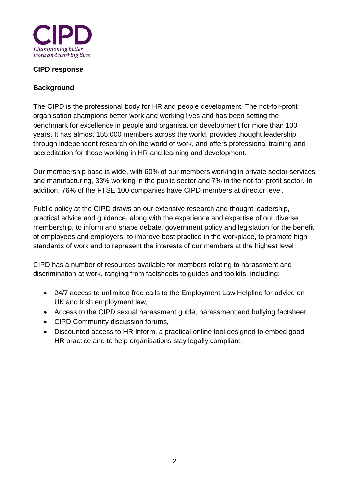

#### **CIPD response**

### **Background**

The CIPD is the professional body for HR and people development. The not-for-profit organisation champions better work and working lives and has been setting the benchmark for excellence in people and organisation development for more than 100 years. It has almost 155,000 members across the world, provides thought leadership through independent research on the world of work, and offers professional training and accreditation for those working in HR and learning and development.

Our membership base is wide, with 60% of our members working in private sector services and manufacturing, 33% working in the public sector and 7% in the not-for-profit sector. In addition, 76% of the FTSE 100 companies have CIPD members at director level.

Public policy at the CIPD draws on our extensive research and thought leadership, practical advice and guidance, along with the experience and expertise of our diverse membership, to inform and shape debate, government policy and legislation for the benefit of employees and employers, to improve best practice in the workplace, to promote high standards of work and to represent the interests of our members at the highest level

CIPD has a number of resources available for members relating to harassment and discrimination at work, ranging from factsheets to guides and toolkits, including:

- 24/7 access to unlimited free calls to the Employment Law Helpline for advice on UK and Irish employment law,
- Access to the CIPD sexual harassment guide, harassment and bullying factsheet,
- CIPD Community discussion forums,
- Discounted access to HR Inform, a practical online tool designed to embed good HR practice and to help organisations stay legally compliant.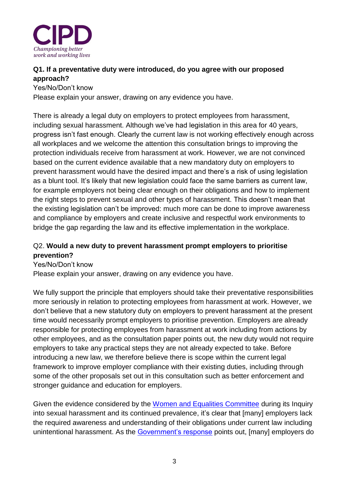

## **Q1. If a preventative duty were introduced, do you agree with our proposed approach?**

Yes/No/Don't know

Please explain your answer, drawing on any evidence you have.

There is already a legal duty on employers to protect employees from harassment, including sexual harassment. Although we've had legislation in this area for 40 years, progress isn't fast enough. Clearly the current law is not working effectively enough across all workplaces and we welcome the attention this consultation brings to improving the protection individuals receive from harassment at work. However, we are not convinced based on the current evidence available that a new mandatory duty on employers to prevent harassment would have the desired impact and there's a risk of using legislation as a blunt tool. It's likely that new legislation could face the same barriers as current law, for example employers not being clear enough on their obligations and how to implement the right steps to prevent sexual and other types of harassment. This doesn't mean that the existing legislation can't be improved: much more can be done to improve awareness and compliance by employers and create inclusive and respectful work environments to bridge the gap regarding the law and its effective implementation in the workplace.

## Q2. **Would a new duty to prevent harassment prompt employers to prioritise prevention?**

Yes/No/Don't know Please explain your answer, drawing on any evidence you have.

We fully support the principle that employers should take their preventative responsibilities more seriously in relation to protecting employees from harassment at work. However, we don't believe that a new statutory duty on employers to prevent harassment at the present time would necessarily prompt employers to prioritise prevention. Employers are already responsible for protecting employees from harassment at work including from actions by other employees, and as the consultation paper points out, the new duty would not require employers to take any practical steps they are not already expected to take. Before introducing a new law, we therefore believe there is scope within the current legal framework to improve employer compliance with their existing duties, including through some of the other proposals set out in this consultation such as better enforcement and stronger guidance and education for employers.

Given the evidence considered by the [Women and Equalities Committee](https://publications.parliament.uk/pa/cm201719/cmselect/cmwomeq/725/72502.htm) during its Inquiry into sexual harassment and its continued prevalence, it's clear that [many] employers lack the required awareness and understanding of their obligations under current law including unintentional harassment. As the [Government's response](https://publications.parliament.uk/pa/cm201719/cmselect/cmwomeq/1801/1801.pdf) points out, [many] employers do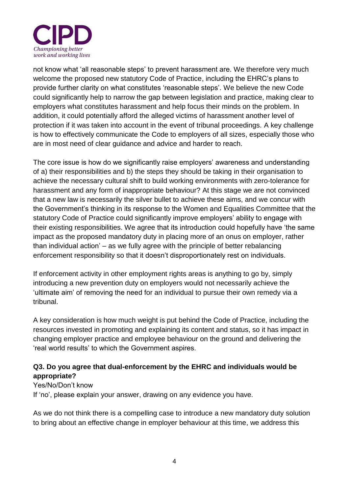

not know what 'all reasonable steps' to prevent harassment are. We therefore very much welcome the proposed new statutory Code of Practice, including the EHRC's plans to provide further clarity on what constitutes 'reasonable steps'. We believe the new Code could significantly help to narrow the gap between legislation and practice, making clear to employers what constitutes harassment and help focus their minds on the problem. In addition, it could potentially afford the alleged victims of harassment another level of protection if it was taken into account in the event of tribunal proceedings. A key challenge is how to effectively communicate the Code to employers of all sizes, especially those who are in most need of clear guidance and advice and harder to reach.

The core issue is how do we significantly raise employers' awareness and understanding of a) their responsibilities and b) the steps they should be taking in their organisation to achieve the necessary cultural shift to build working environments with zero-tolerance for harassment and any form of inappropriate behaviour? At this stage we are not convinced that a new law is necessarily the silver bullet to achieve these aims, and we concur with the Government's thinking in its response to the Women and Equalities Committee that the statutory Code of Practice could significantly improve employers' ability to engage with their existing responsibilities. We agree that its introduction could hopefully have 'the same impact as the proposed mandatory duty in placing more of an onus on employer, rather than individual action' – as we fully agree with the principle of better rebalancing enforcement responsibility so that it doesn't disproportionately rest on individuals.

If enforcement activity in other employment rights areas is anything to go by, simply introducing a new prevention duty on employers would not necessarily achieve the 'ultimate aim' of removing the need for an individual to pursue their own remedy via a tribunal.

A key consideration is how much weight is put behind the Code of Practice, including the resources invested in promoting and explaining its content and status, so it has impact in changing employer practice and employee behaviour on the ground and delivering the 'real world results' to which the Government aspires.

## **Q3. Do you agree that dual-enforcement by the EHRC and individuals would be appropriate?**

#### Yes/No/Don't know

If 'no', please explain your answer, drawing on any evidence you have.

As we do not think there is a compelling case to introduce a new mandatory duty solution to bring about an effective change in employer behaviour at this time, we address this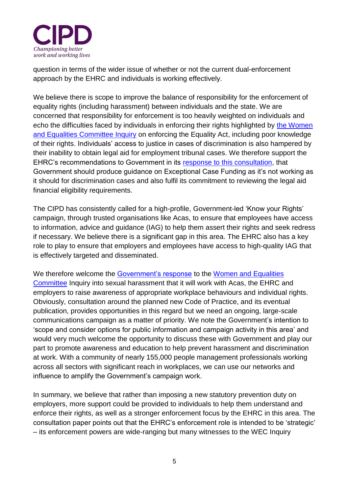

question in terms of the wider issue of whether or not the current dual-enforcement approach by the EHRC and individuals is working effectively.

We believe there is scope to improve the balance of responsibility for the enforcement of equality rights (including harassment) between individuals and the state. We are concerned that responsibility for enforcement is too heavily weighted on individuals and echo the difficulties faced by individuals in enforcing their rights highlighted by [the Women](https://publications.parliament.uk/pa/cm201719/cmselect/cmwomeq/1470/147002.htm)  [and Equalities Committee Inquiry](https://publications.parliament.uk/pa/cm201719/cmselect/cmwomeq/1470/147002.htm) on enforcing the Equality Act, including poor knowledge of their rights. Individuals' access to justice in cases of discrimination is also hampered by their inability to obtain legal aid for employment tribunal cases. We therefore support the EHRC's recommendations to Government in its [response to this consultation,](https://www.equalityhumanrights.com/en/legal-responses/consultation-responses) that Government should produce guidance on Exceptional Case Funding as it's not working as it should for discrimination cases and also fulfil its commitment to reviewing the legal aid financial eligibility requirements.

The CIPD has consistently called for a high-profile, Government-led 'Know your Rights' campaign, through trusted organisations like Acas, to ensure that employees have access to information, advice and guidance (IAG) to help them assert their rights and seek redress if necessary. We believe there is a significant gap in this area. The EHRC also has a key role to play to ensure that employers and employees have access to high-quality IAG that is effectively targeted and disseminated.

We therefore welcome the [Government's response](https://publications.parliament.uk/pa/cm201719/cmselect/cmwomeq/1801/1801.pdf) to the Women and Equalities [Committee](https://publications.parliament.uk/pa/cm201719/cmselect/cmwomeq/725/72502.htm) Inquiry into sexual harassment that it will work with Acas, the EHRC and employers to raise awareness of appropriate workplace behaviours and individual rights. Obviously, consultation around the planned new Code of Practice, and its eventual publication, provides opportunities in this regard but we need an ongoing, large-scale communications campaign as a matter of priority. We note the Government's intention to 'scope and consider options for public information and campaign activity in this area' and would very much welcome the opportunity to discuss these with Government and play our part to promote awareness and education to help prevent harassment and discrimination at work. With a community of nearly 155,000 people management professionals working across all sectors with significant reach in workplaces, we can use our networks and influence to amplify the Government's campaign work.

In summary, we believe that rather than imposing a new statutory prevention duty on employers, more support could be provided to individuals to help them understand and enforce their rights, as well as a stronger enforcement focus by the EHRC in this area. The consultation paper points out that the EHRC's enforcement role is intended to be 'strategic' – its enforcement powers are wide-ranging but many witnesses to the WEC Inquiry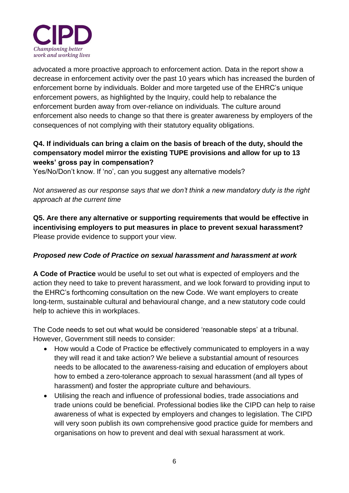

advocated a more proactive approach to enforcement action. Data in the report show a decrease in enforcement activity over the past 10 years which has increased the burden of enforcement borne by individuals. Bolder and more targeted use of the EHRC's unique enforcement powers, as highlighted by the Inquiry, could help to rebalance the enforcement burden away from over-reliance on individuals. The culture around enforcement also needs to change so that there is greater awareness by employers of the consequences of not complying with their statutory equality obligations.

## **Q4. If individuals can bring a claim on the basis of breach of the duty, should the compensatory model mirror the existing TUPE provisions and allow for up to 13 weeks' gross pay in compensation?**

Yes/No/Don't know. If 'no', can you suggest any alternative models?

*Not answered as our response says that we don't think a new mandatory duty is the right approach at the current time*

**Q5. Are there any alternative or supporting requirements that would be effective in incentivising employers to put measures in place to prevent sexual harassment?** Please provide evidence to support your view.

#### *Proposed new Code of Practice on sexual harassment and harassment at work*

**A Code of Practice** would be useful to set out what is expected of employers and the action they need to take to prevent harassment, and we look forward to providing input to the EHRC's forthcoming consultation on the new Code. We want employers to create long-term, sustainable cultural and behavioural change, and a new statutory code could help to achieve this in workplaces.

The Code needs to set out what would be considered 'reasonable steps' at a tribunal. However, Government still needs to consider:

- How would a Code of Practice be effectively communicated to employers in a way they will read it and take action? We believe a substantial amount of resources needs to be allocated to the awareness-raising and education of employers about how to embed a zero-tolerance approach to sexual harassment (and all types of harassment) and foster the appropriate culture and behaviours.
- Utilising the reach and influence of professional bodies, trade associations and trade unions could be beneficial. Professional bodies like the CIPD can help to raise awareness of what is expected by employers and changes to legislation. The CIPD will very soon publish its own comprehensive good practice guide for members and organisations on how to prevent and deal with sexual harassment at work.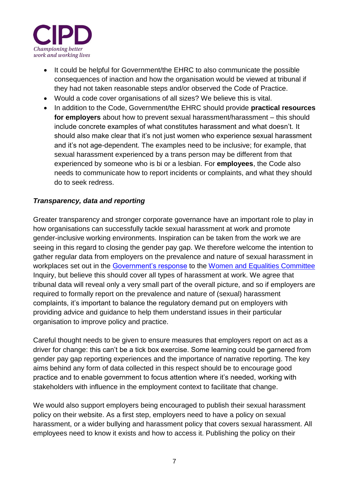

- It could be helpful for Government/the EHRC to also communicate the possible consequences of inaction and how the organisation would be viewed at tribunal if they had not taken reasonable steps and/or observed the Code of Practice.
- Would a code cover organisations of all sizes? We believe this is vital.
- In addition to the Code, Government/the EHRC should provide **practical resources for employers** about how to prevent sexual harassment/harassment – this should include concrete examples of what constitutes harassment and what doesn't. It should also make clear that it's not just women who experience sexual harassment and it's not age-dependent. The examples need to be inclusive; for example, that sexual harassment experienced by a trans person may be different from that experienced by someone who is bi or a lesbian. For **employees**, the Code also needs to communicate how to report incidents or complaints, and what they should do to seek redress.

## *Transparency, data and reporting*

Greater transparency and stronger corporate governance have an important role to play in how organisations can successfully tackle sexual harassment at work and promote gender-inclusive working environments. Inspiration can be taken from the work we are seeing in this regard to closing the gender pay gap. We therefore welcome the intention to gather regular data from employers on the prevalence and nature of sexual harassment in workplaces set out in the [Government's response](https://publications.parliament.uk/pa/cm201719/cmselect/cmwomeq/1801/1801.pdf) to the [Women and Equalities Committee](https://publications.parliament.uk/pa/cm201719/cmselect/cmwomeq/725/72502.htm) Inquiry, but believe this should cover all types of harassment at work. We agree that tribunal data will reveal only a very small part of the overall picture, and so if employers are required to formally report on the prevalence and nature of (sexual) harassment complaints, it's important to balance the regulatory demand put on employers with providing advice and guidance to help them understand issues in their particular organisation to improve policy and practice.

Careful thought needs to be given to ensure measures that employers report on act as a driver for change: this can't be a tick box exercise. Some learning could be garnered from gender pay gap reporting experiences and the importance of narrative reporting. The key aims behind any form of data collected in this respect should be to encourage good practice and to enable government to focus attention where it's needed, working with stakeholders with influence in the employment context to facilitate that change.

We would also support employers being encouraged to publish their sexual harassment policy on their website. As a first step, employers need to have a policy on sexual harassment, or a wider bullying and harassment policy that covers sexual harassment. All employees need to know it exists and how to access it. Publishing the policy on their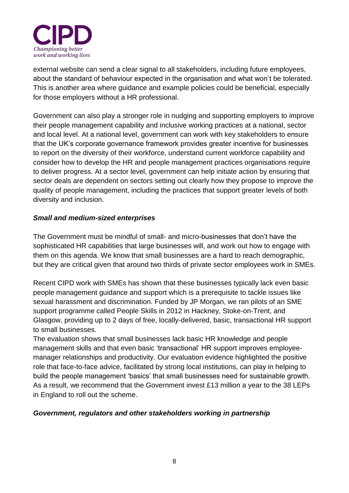

external website can send a clear signal to all stakeholders, including future employees, about the standard of behaviour expected in the organisation and what won't be tolerated. This is another area where guidance and example policies could be beneficial, especially for those employers without a HR professional.

Government can also play a stronger role in nudging and supporting employers to improve their people management capability and inclusive working practices at a national, sector and local level. At a national level, government can work with key stakeholders to ensure that the UK's corporate governance framework provides greater incentive for businesses to report on the diversity of their workforce, understand current workforce capability and consider how to develop the HR and people management practices organisations require to deliver progress. At a sector level, government can help initiate action by ensuring that sector deals are dependent on sectors setting out clearly how they propose to improve the quality of people management, including the practices that support greater levels of both diversity and inclusion.

#### *Small and medium-sized enterprises*

The Government must be mindful of small- and micro-businesses that don't have the sophisticated HR capabilities that large businesses will, and work out how to engage with them on this agenda. We know that small businesses are a hard to reach demographic, but they are critical given that around two thirds of private sector employees work in SMEs.

Recent CIPD work with SMEs has shown that these businesses typically lack even basic people management guidance and support which is a prerequisite to tackle issues like sexual harassment and discrimination. Funded by JP Morgan, we ran pilots of an SME support programme called People Skills in 2012 in Hackney, Stoke-on-Trent, and Glasgow, providing up to 2 days of free, locally-delivered, basic, transactional HR support to small businesses.

The evaluation shows that small businesses lack basic HR knowledge and people management skills and that even basic 'transactional' HR support improves employeemanager relationships and productivity. Our evaluation evidence highlighted the positive role that face-to-face advice, facilitated by strong local institutions, can play in helping to build the people management 'basics' that small businesses need for sustainable growth. As a result, we recommend that the Government invest £13 million a year to the 38 LEPs in England to roll out the scheme.

#### *Government, regulators and other stakeholders working in partnership*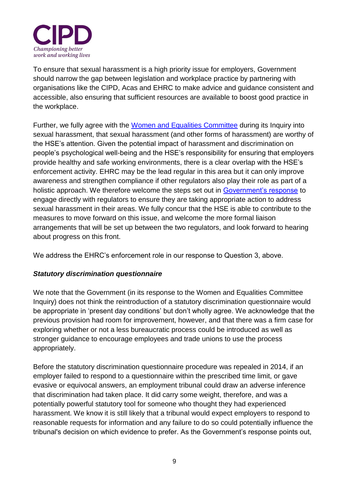

To ensure that sexual harassment is a high priority issue for employers, Government should narrow the gap between legislation and workplace practice by partnering with organisations like the CIPD, Acas and EHRC to make advice and guidance consistent and accessible, also ensuring that sufficient resources are available to boost good practice in the workplace.

Further, we fully agree with the [Women and Equalities Committee](https://publications.parliament.uk/pa/cm201719/cmselect/cmwomeq/725/72502.htm) during its Inquiry into sexual harassment, that sexual harassment (and other forms of harassment) are worthy of the HSE's attention. Given the potential impact of harassment and discrimination on people's psychological well-being and the HSE's responsibility for ensuring that employers provide healthy and safe working environments, there is a clear overlap with the HSE's enforcement activity. EHRC may be the lead regular in this area but it can only improve awareness and strengthen compliance if other regulators also play their role as part of a holistic approach. We therefore welcome the steps set out in [Government's response](https://publications.parliament.uk/pa/cm201719/cmselect/cmwomeq/1801/1801.pdf) to engage directly with regulators to ensure they are taking appropriate action to address sexual harassment in their areas. We fully concur that the HSE is able to contribute to the measures to move forward on this issue, and welcome the more formal liaison arrangements that will be set up between the two regulators, and look forward to hearing about progress on this front.

We address the EHRC's enforcement role in our response to Question 3, above.

#### *Statutory discrimination questionnaire*

We note that the Government (in its response to the Women and Equalities Committee Inquiry) does not think the reintroduction of a statutory discrimination questionnaire would be appropriate in 'present day conditions' but don't wholly agree. We acknowledge that the previous provision had room for improvement, however, and that there was a firm case for exploring whether or not a less bureaucratic process could be introduced as well as stronger guidance to encourage employees and trade unions to use the process appropriately.

Before the statutory discrimination questionnaire procedure was repealed in 2014, if an employer failed to respond to a questionnaire within the prescribed time limit, or gave evasive or equivocal answers, an employment tribunal could draw an adverse inference that discrimination had taken place. It did carry some weight, therefore, and was a potentially powerful statutory tool for someone who thought they had experienced harassment. We know it is still likely that a tribunal would expect employers to respond to reasonable requests for information and any failure to do so could potentially influence the tribunal's decision on which evidence to prefer. As the Government's response points out,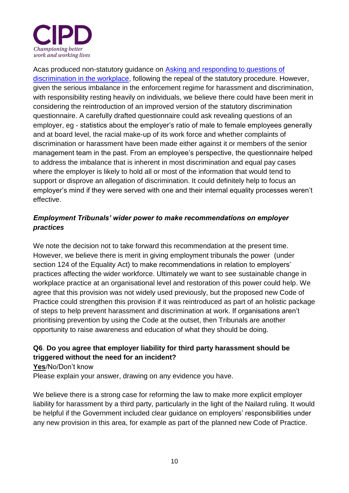

Acas produced non-statutory guidance on [Asking and responding to questions of](http://www.acas.org.uk/media/pdf/m/p/Asking-and-responding-to-questions-of-discrimination-in-the-workplace.pdf)  [discrimination in the workplace,](http://www.acas.org.uk/media/pdf/m/p/Asking-and-responding-to-questions-of-discrimination-in-the-workplace.pdf) following the repeal of the statutory procedure. However, given the serious imbalance in the enforcement regime for harassment and discrimination, with responsibility resting heavily on individuals, we believe there could have been merit in considering the reintroduction of an improved version of the statutory discrimination questionnaire. A carefully drafted questionnaire could ask revealing questions of an employer, eg - statistics about the employer's ratio of male to female employees generally and at board level, the racial make-up of its work force and whether complaints of discrimination or harassment have been made either against it or members of the senior management team in the past. From an employee's perspective, the questionnaire helped to address the imbalance that is inherent in most discrimination and equal pay cases where the employer is likely to hold all or most of the information that would tend to support or disprove an allegation of discrimination. It could definitely help to focus an employer's mind if they were served with one and their internal equality processes weren't effective.

## *Employment Tribunals' wider power to make recommendations on employer practices*

We note the decision not to take forward this recommendation at the present time. However, we believe there is merit in giving employment tribunals the power (under section 124 of the Equality Act) to make recommendations in relation to employers' practices affecting the wider workforce. Ultimately we want to see sustainable change in workplace practice at an organisational level and restoration of this power could help. We agree that this provision was not widely used previously, but the proposed new Code of Practice could strengthen this provision if it was reintroduced as part of an holistic package of steps to help prevent harassment and discrimination at work. If organisations aren't prioritising prevention by using the Code at the outset, then Tribunals are another opportunity to raise awareness and education of what they should be doing.

## **Q6**. **Do you agree that employer liability for third party harassment should be triggered without the need for an incident?**

**Yes**/No/Don't know

Please explain your answer, drawing on any evidence you have.

We believe there is a strong case for reforming the law to make more explicit employer liability for harassment by a third party, particularly in the light of the Nailard ruling. It would be helpful if the Government included clear guidance on employers' responsibilities under any new provision in this area, for example as part of the planned new Code of Practice.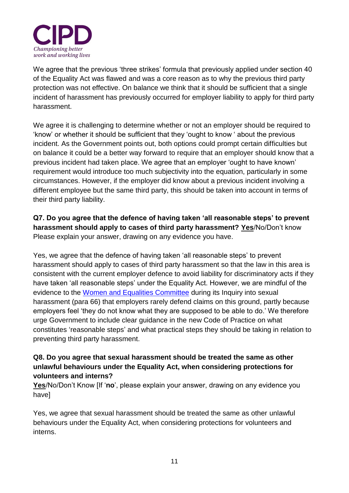

We agree that the previous 'three strikes' formula that previously applied under section 40 of the Equality Act was flawed and was a core reason as to why the previous third party protection was not effective. On balance we think that it should be sufficient that a single incident of harassment has previously occurred for employer liability to apply for third party harassment.

We agree it is challenging to determine whether or not an employer should be required to 'know' or whether it should be sufficient that they 'ought to know ' about the previous incident. As the Government points out, both options could prompt certain difficulties but on balance it could be a better way forward to require that an employer should know that a previous incident had taken place. We agree that an employer 'ought to have known' requirement would introduce too much subjectivity into the equation, particularly in some circumstances. However, if the employer did know about a previous incident involving a different employee but the same third party, this should be taken into account in terms of their third party liability.

**Q7. Do you agree that the defence of having taken 'all reasonable steps' to prevent harassment should apply to cases of third party harassment? Yes**/No/Don't know Please explain your answer, drawing on any evidence you have.

Yes, we agree that the defence of having taken 'all reasonable steps' to prevent harassment should apply to cases of third party harassment so that the law in this area is consistent with the current employer defence to avoid liability for discriminatory acts if they have taken 'all reasonable steps' under the Equality Act. However, we are mindful of the evidence to the [Women and Equalities Committee](https://publications.parliament.uk/pa/cm201719/cmselect/cmwomeq/725/72502.htm) during its Inquiry into sexual harassment (para 66) that employers rarely defend claims on this ground, partly because employers feel 'they do not know what they are supposed to be able to do.' We therefore urge Government to include clear guidance in the new Code of Practice on what constitutes 'reasonable steps' and what practical steps they should be taking in relation to preventing third party harassment.

#### **Q8. Do you agree that sexual harassment should be treated the same as other unlawful behaviours under the Equality Act, when considering protections for volunteers and interns?**

**Yes**/No/Don't Know [If '**no**', please explain your answer, drawing on any evidence you have]

Yes, we agree that sexual harassment should be treated the same as other unlawful behaviours under the Equality Act, when considering protections for volunteers and interns.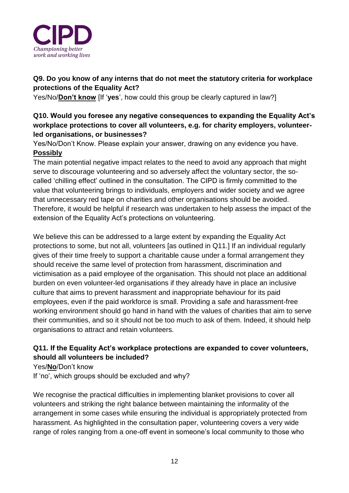

## **Q9. Do you know of any interns that do not meet the statutory criteria for workplace protections of the Equality Act?**

Yes/No/**Don't know** [If '**yes**', how could this group be clearly captured in law?]

## **Q10. Would you foresee any negative consequences to expanding the Equality Act's workplace protections to cover all volunteers, e.g. for charity employers, volunteerled organisations, or businesses?**

Yes/No/Don't Know. Please explain your answer, drawing on any evidence you have. **Possibly**

The main potential negative impact relates to the need to avoid any approach that might serve to discourage volunteering and so adversely affect the voluntary sector, the socalled 'chilling effect' outlined in the consultation. The CIPD is firmly committed to the value that volunteering brings to individuals, employers and wider society and we agree that unnecessary red tape on charities and other organisations should be avoided. Therefore, it would be helpful if research was undertaken to help assess the impact of the extension of the Equality Act's protections on volunteering.

We believe this can be addressed to a large extent by expanding the Equality Act protections to some, but not all, volunteers [as outlined in Q11.] If an individual regularly gives of their time freely to support a charitable cause under a formal arrangement they should receive the same level of protection from harassment, discrimination and victimisation as a paid employee of the organisation. This should not place an additional burden on even volunteer-led organisations if they already have in place an inclusive culture that aims to prevent harassment and inappropriate behaviour for its paid employees, even if the paid workforce is small. Providing a safe and harassment-free working environment should go hand in hand with the values of charities that aim to serve their communities, and so it should not be too much to ask of them. Indeed, it should help organisations to attract and retain volunteers.

## **Q11. If the Equality Act's workplace protections are expanded to cover volunteers, should all volunteers be included?**

Yes/**No**/Don't know If 'no', which groups should be excluded and why?

We recognise the practical difficulties in implementing blanket provisions to cover all volunteers and striking the right balance between maintaining the informality of the arrangement in some cases while ensuring the individual is appropriately protected from harassment. As highlighted in the consultation paper, volunteering covers a very wide range of roles ranging from a one-off event in someone's local community to those who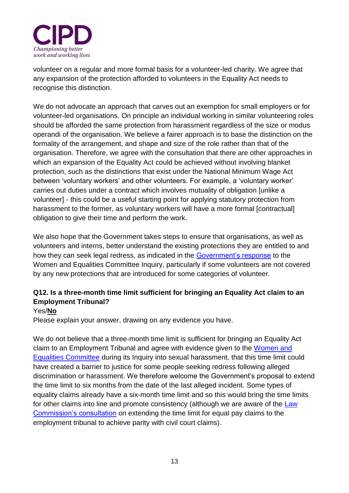

volunteer on a regular and more formal basis for a volunteer-led charity. We agree that any expansion of the protection afforded to volunteers in the Equality Act needs to recognise this distinction.

We do not advocate an approach that carves out an exemption for small employers or for volunteer-led organisations. On principle an individual working in similar volunteering roles should be afforded the same protection from harassment regardless of the size or modus operandi of the organisation. We believe a fairer approach is to base the distinction on the formality of the arrangement, and shape and size of the role rather than that of the organisation. Therefore, we agree with the consultation that there are other approaches in which an expansion of the Equality Act could be achieved without involving blanket protection, such as the distinctions that exist under the National Minimum Wage Act between 'voluntary workers' and other volunteers. For example, a 'voluntary worker' carries out duties under a contract which involves mutuality of obligation [unlike a volunteer] - this could be a useful starting point for applying statutory protection from harassment to the former, as voluntary workers will have a more formal [contractual] obligation to give their time and perform the work.

We also hope that the Government takes steps to ensure that organisations, as well as volunteers and interns, better understand the existing protections they are entitled to and how they can seek legal redress, as indicated in the [Government's response](https://publications.parliament.uk/pa/cm201719/cmselect/cmwomeq/1801/1801.pdf) to the Women and Equalities Committee Inquiry, particularly if some volunteers are not covered by any new protections that are introduced for some categories of volunteer.

## **Q12. Is a three-month time limit sufficient for bringing an Equality Act claim to an Employment Tribunal?**

#### Yes/**No**

Please explain your answer, drawing on any evidence you have.

We do not believe that a three-month time limit is sufficient for bringing an Equality Act claim to an Employment Tribunal and agree with evidence given to the [Women and](https://publications.parliament.uk/pa/cm201719/cmselect/cmwomeq/725/72502.htm)  [Equalities Committee](https://publications.parliament.uk/pa/cm201719/cmselect/cmwomeq/725/72502.htm) during its Inquiry into sexual harassment, that this time limit could have created a barrier to justice for some people seeking redress following alleged discrimination or harassment. We therefore welcome the Government's proposal to extend the time limit to six months from the date of the last alleged incident. Some types of equality claims already have a six-month time limit and so this would bring the time limits for other claims into line and promote consistency (although we are aware of the [Law](https://s3-eu-west-2.amazonaws.com/lawcom-prod-storage-11jsxou24uy7q/uploads/2018/09/6.4936_LC_Consultation_Paper_239_Employment-Law-Hearing-Structures_WEB-FINAL.pdf)  [Commission's consultation](https://s3-eu-west-2.amazonaws.com/lawcom-prod-storage-11jsxou24uy7q/uploads/2018/09/6.4936_LC_Consultation_Paper_239_Employment-Law-Hearing-Structures_WEB-FINAL.pdf) on extending the time limit for equal pay claims to the employment tribunal to achieve parity with civil court claims).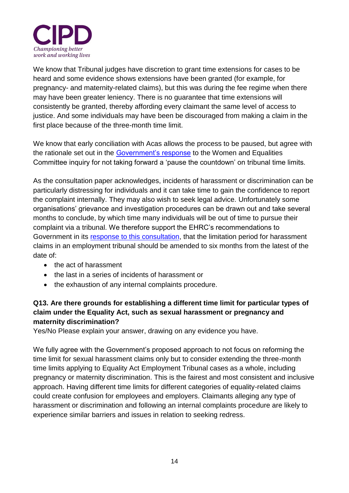

We know that Tribunal judges have discretion to grant time extensions for cases to be heard and some evidence shows extensions have been granted (for example, for pregnancy- and maternity-related claims), but this was during the fee regime when there may have been greater leniency. There is no guarantee that time extensions will consistently be granted, thereby affording every claimant the same level of access to justice. And some individuals may have been be discouraged from making a claim in the first place because of the three-month time limit.

We know that early conciliation with Acas allows the process to be paused, but agree with the rationale set out in the [Government's response](https://publications.parliament.uk/pa/cm201719/cmselect/cmwomeq/1801/1801.pdf) to the Women and Equalities Committee inquiry for not taking forward a 'pause the countdown' on tribunal time limits.

As the consultation paper acknowledges, incidents of harassment or discrimination can be particularly distressing for individuals and it can take time to gain the confidence to report the complaint internally. They may also wish to seek legal advice. Unfortunately some organisations' grievance and investigation procedures can be drawn out and take several months to conclude, by which time many individuals will be out of time to pursue their complaint via a tribunal. We therefore support the EHRC's recommendations to Government in its [response to this consultation,](https://www.equalityhumanrights.com/en/legal-responses/consultation-responses) that the limitation period for harassment claims in an employment tribunal should be amended to six months from the latest of the date of:

- the act of harassment
- the last in a series of incidents of harassment or
- the exhaustion of any internal complaints procedure.

## **Q13. Are there grounds for establishing a different time limit for particular types of claim under the Equality Act, such as sexual harassment or pregnancy and maternity discrimination?**

Yes/No Please explain your answer, drawing on any evidence you have.

We fully agree with the Government's proposed approach to not focus on reforming the time limit for sexual harassment claims only but to consider extending the three-month time limits applying to Equality Act Employment Tribunal cases as a whole, including pregnancy or maternity discrimination. This is the fairest and most consistent and inclusive approach. Having different time limits for different categories of equality-related claims could create confusion for employees and employers. Claimants alleging any type of harassment or discrimination and following an internal complaints procedure are likely to experience similar barriers and issues in relation to seeking redress.